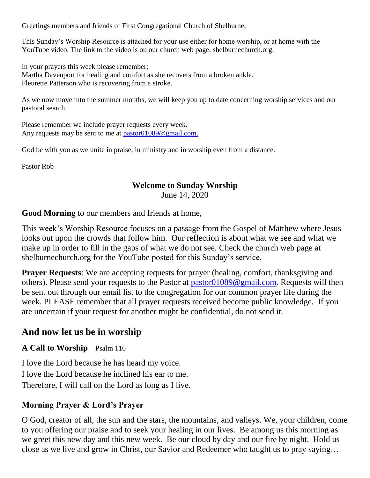Greetings members and friends of First Congregational Church of Shelburne,

This Sunday's Worship Resource is attached for your use either for home worship, or at home with the YouTube video. The link to the video is on our church web page, shelburnechurch.org.

In your prayers this week please remember: Martha Davenport for healing and comfort as she recovers from a broken ankle. Fleurette Patterson who is recovering from a stroke.

As we now move into the summer months, we will keep you up to date concerning worship services and our pastoral search.

Please remember we include prayer requests every week. Any requests may be sent to me at [pastor01089@gmail.com.](mailto:pastor01089@gmail.com)

God be with you as we unite in praise, in ministry and in worship even from a distance.

Pastor Rob

## **Welcome to Sunday Worship**

June 14, 2020

**Good Morning** to our members and friends at home,

This week's Worship Resource focuses on a passage from the Gospel of Matthew where Jesus looks out upon the crowds that follow him. Our reflection is about what we see and what we make up in order to fill in the gaps of what we do not see. Check the church web page at shelburnechurch.org for the YouTube posted for this Sunday's service.

**Prayer Requests:** We are accepting requests for prayer (healing, comfort, thanksgiving and others). Please send your requests to the Pastor at [pastor01089@gmail.com.](mailto:pastor01089@gmail.com) Requests will then be sent out through our email list to the congregation for our common prayer life during the week. PLEASE remember that all prayer requests received become public knowledge. If you are uncertain if your request for another might be confidential, do not send it.

# **And now let us be in worship**

**A Call to Worship** Psalm 116

I love the Lord because he has heard my voice. I love the Lord because he inclined his ear to me. Therefore, I will call on the Lord as long as I live.

# **Morning Prayer & Lord's Prayer**

O God, creator of all, the sun and the stars, the mountains, and valleys. We, your children, come to you offering our praise and to seek your healing in our lives. Be among us this morning as we greet this new day and this new week. Be our cloud by day and our fire by night. Hold us close as we live and grow in Christ, our Savior and Redeemer who taught us to pray saying…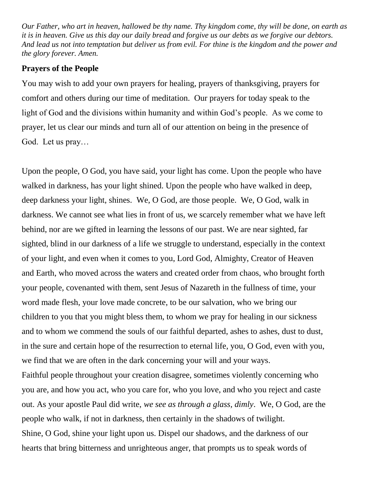*Our Father, who art in heaven, hallowed be thy name. Thy kingdom come, thy will be done, on earth as it is in heaven. Give us this day our daily bread and forgive us our debts as we forgive our debtors. And lead us not into temptation but deliver us from evil. For thine is the kingdom and the power and the glory forever. Amen.*

### **Prayers of the People**

You may wish to add your own prayers for healing, prayers of thanksgiving, prayers for comfort and others during our time of meditation. Our prayers for today speak to the light of God and the divisions within humanity and within God's people. As we come to prayer, let us clear our minds and turn all of our attention on being in the presence of God. Let us pray…

Upon the people, O God, you have said, your light has come. Upon the people who have walked in darkness, has your light shined. Upon the people who have walked in deep, deep darkness your light, shines. We, O God, are those people. We, O God, walk in darkness. We cannot see what lies in front of us, we scarcely remember what we have left behind, nor are we gifted in learning the lessons of our past. We are near sighted, far sighted, blind in our darkness of a life we struggle to understand, especially in the context of your light, and even when it comes to you, Lord God, Almighty, Creator of Heaven and Earth, who moved across the waters and created order from chaos, who brought forth your people, covenanted with them, sent Jesus of Nazareth in the fullness of time, your word made flesh, your love made concrete, to be our salvation, who we bring our children to you that you might bless them, to whom we pray for healing in our sickness and to whom we commend the souls of our faithful departed, ashes to ashes, dust to dust, in the sure and certain hope of the resurrection to eternal life, you, O God, even with you, we find that we are often in the dark concerning your will and your ways.

Faithful people throughout your creation disagree, sometimes violently concerning who you are, and how you act, who you care for, who you love, and who you reject and caste out. As your apostle Paul did write, *we see as through a glass, dimly*. We, O God, are the people who walk, if not in darkness, then certainly in the shadows of twilight. Shine, O God, shine your light upon us. Dispel our shadows, and the darkness of our hearts that bring bitterness and unrighteous anger, that prompts us to speak words of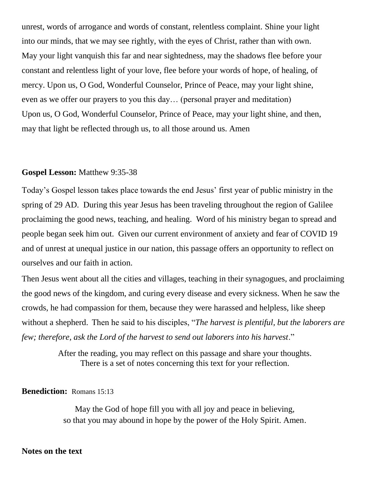unrest, words of arrogance and words of constant, relentless complaint. Shine your light into our minds, that we may see rightly, with the eyes of Christ, rather than with own. May your light vanquish this far and near sightedness, may the shadows flee before your constant and relentless light of your love, flee before your words of hope, of healing, of mercy. Upon us, O God, Wonderful Counselor, Prince of Peace, may your light shine, even as we offer our prayers to you this day… (personal prayer and meditation) Upon us, O God, Wonderful Counselor, Prince of Peace, may your light shine, and then, may that light be reflected through us, to all those around us. Amen

### **Gospel Lesson:** Matthew 9:35-38

Today's Gospel lesson takes place towards the end Jesus' first year of public ministry in the spring of 29 AD. During this year Jesus has been traveling throughout the region of Galilee proclaiming the good news, teaching, and healing. Word of his ministry began to spread and people began seek him out. Given our current environment of anxiety and fear of COVID 19 and of unrest at unequal justice in our nation, this passage offers an opportunity to reflect on ourselves and our faith in action.

Then Jesus went about all the cities and villages, teaching in their synagogues, and proclaiming the good news of the kingdom, and curing every disease and every sickness. When he saw the crowds, he had compassion for them, because they were harassed and helpless, like sheep without a shepherd. Then he said to his disciples, "*The harvest is plentiful, but the laborers are few; therefore, ask the Lord of the harvest to send out laborers into his harvest*."

> After the reading, you may reflect on this passage and share your thoughts. There is a set of notes concerning this text for your reflection.

### **Benediction:** Romans 15:13

May the God of hope fill you with all joy and peace in believing, so that you may abound in hope by the power of the Holy Spirit. Amen.

#### **Notes on the text**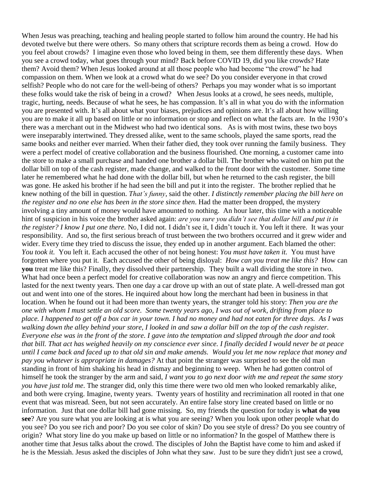When Jesus was preaching, teaching and healing people started to follow him around the country. He had his devoted twelve but there were others. So many others that scripture records them as being a crowd. How do you feel about crowds? I imagine even those who loved being in them, see them differently these days. When you see a crowd today, what goes through your mind? Back before COVID 19, did you like crowds? Hate them? Avoid them? When Jesus looked around at all those people who had become "the crowd" he had compassion on them. When we look at a crowd what do we see? Do you consider everyone in that crowd selfish? People who do not care for the well-being of others? Perhaps you may wonder what is so important these folks would take the risk of being in a crowd? When Jesus looks at a crowd, he sees needs, multiple, tragic, hurting, needs. Because of what he sees, he has compassion. It's all in what you do with the information you are presented with. It's all about what your biases, prejudices and opinions are. It's all about how willing you are to make it all up based on little or no information or stop and reflect on what the facts are. In the 1930's there was a merchant out in the Midwest who had two identical sons. As is with most twins, these two boys were inseparably intertwined. They dressed alike, went to the same schools, played the same sports, read the same books and neither ever married. When their father died, they took over running the family business. They were a perfect model of creative collaboration and the business flourished. One morning, a customer came into the store to make a small purchase and handed one brother a dollar bill. The brother who waited on him put the dollar bill on top of the cash register, made change, and walked to the front door with the customer. Some time later he remembered what he had done with the dollar bill, but when he returned to the cash register, the bill was gone. He asked his brother if he had seen the bill and put it into the register. The brother replied that he knew nothing of the bill in question. *That's funny*, said the other. *I distinctly remember placing the bill here on the register and no one else has been in the store since then*. Had the matter been dropped, the mystery involving a tiny amount of money would have amounted to nothing. An hour later, this time with a noticeable hint of suspicion in his voice the brother asked again: *are you sure you didn't see that dollar bill and put it in the register? I know I put one there.* No, I did not. I didn't see it, I didn't touch it. You left it there. It was your responsibility. And so, the first serious breach of trust between the two brothers occurred and it grew wider and wider. Every time they tried to discuss the issue, they ended up in another argument. Each blamed the other: *You took it.* You left it. Each accused the other of not being honest: *You must have taken it.* You must have forgotten where you put it*.* Each accused the other of being disloyal: *How can you treat me like this?* How can **you** treat me like this? Finally, they dissolved their partnership. They built a wall dividing the store in two. What had once been a perfect model for creative collaboration was now an angry and fierce competition. This lasted for the next twenty years. Then one day a car drove up with an out of state plate. A well-dressed man got out and went into one of the stores. He inquired about how long the merchant had been in business in that location. When he found out it had been more than twenty years, the stranger told his story: *Then you are the one with whom I must settle an old score. Some twenty years ago, I was out of work, drifting from place to place. I happened to get off a box car in your town. I had no money and had not eaten for three days. As I was walking down the alley behind your store, I looked in and saw a dollar bill on the top of the cash register. Everyone else was in the front of the store. I gave into the temptation and slipped through the door and took that bill. That act has weighed heavily on my conscience ever since. I finally decided I would never be at peace until I came back and faced up to that old sin and make amends. Would you let me now replace that money and pay you whatever is appropriate in damages?* At that point the stranger was surprised to see the old man standing in front of him shaking his head in dismay and beginning to weep. When he had gotten control of himself he took the stranger by the arm and said, *I want you to go next door with me and repeat the same story you have just told me*. The stranger did, only this time there were two old men who looked remarkably alike, and both were crying. Imagine, twenty years. Twenty years of hostility and recrimination all rooted in that one event that was misread. Seen, but not seen accurately. An entire false story line created based on little or no information. Just that one dollar bill had gone missing. So, my friends the question for today is **what do you see**? Are you sure what you are looking at is what you are seeing? When you look upon other people what do you see? Do you see rich and poor? Do you see color of skin? Do you see style of dress? Do you see country of origin? What story line do you make up based on little or no information? In the gospel of Matthew there is another time that Jesus talks about the crowd. The disciples of John the Baptist have come to him and asked if he is the Messiah. Jesus asked the disciples of John what they saw. Just to be sure they didn't just see a crowd,